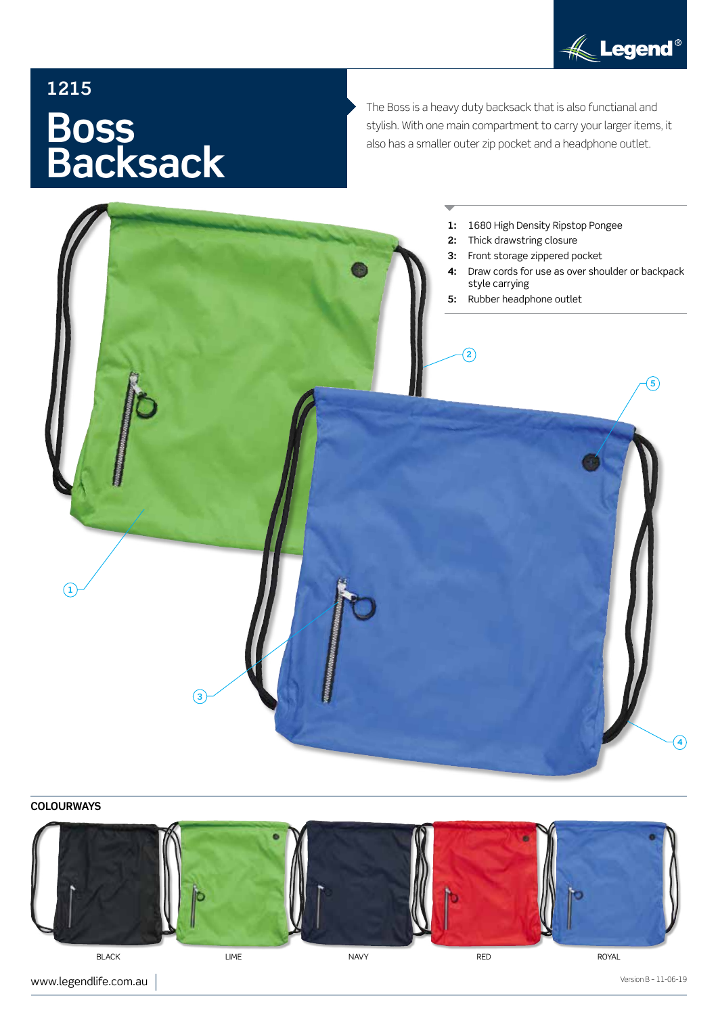

# **1215 Boss Backsack**

The Boss is a heavy duty backsack that is also functianal and stylish. With one main compartment to carry your larger items, it also has a smaller outer zip pocket and a headphone outlet.



## **COLOURWAYS**